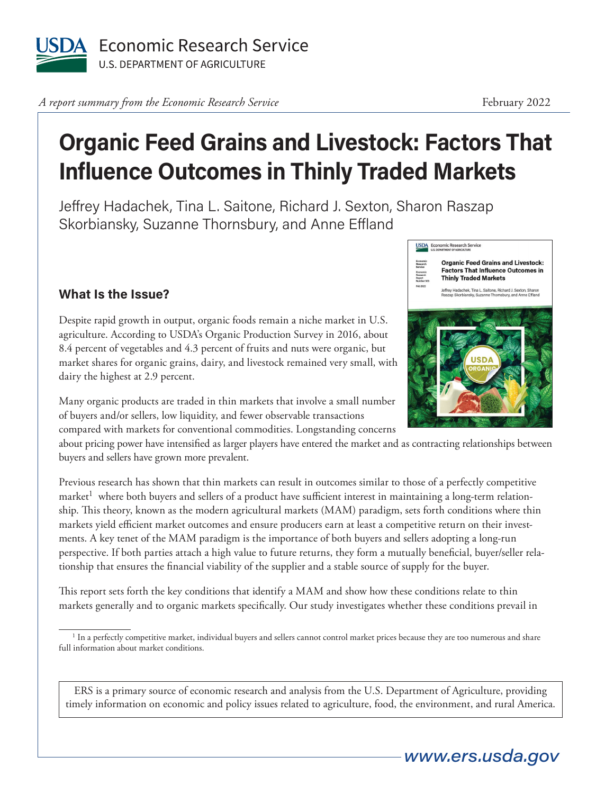

A report summary from the Economic Research Service **February 2022** 

## **Organic Feed Grains and Livestock: Factors That Influence Outcomes in Thinly Traded Markets**

Jeffrey Hadachek, Tina L. Saitone, Richard J. Sexton, Sharon Raszap Skorbiansky, Suzanne Thornsbury, and Anne Effland

## **What Is the Issue?**

Despite rapid growth in output, organic foods remain a niche market in U.S. agriculture. According to USDA's Organic Production Survey in 2016, about 8.4 percent of vegetables and 4.3 percent of fruits and nuts were organic, but market shares for organic grains, dairy, and livestock remained very small, with dairy the highest at 2.9 percent.

Many organic products are traded in thin markets that involve a small number of buyers and/or sellers, low liquidity, and fewer observable transactions compared with markets for conventional commodities. Longstanding concerns

about pricing power have intensified as larger players have entered the market and as contracting relationships between buyers and sellers have grown more prevalent.

Previous research has shown that thin markets can result in outcomes similar to those of a perfectly competitive market<sup>1</sup> where both buyers and sellers of a product have sufficient interest in maintaining a long-term relationship. This theory, known as the modern agricultural markets (MAM) paradigm, sets forth conditions where thin markets yield efficient market outcomes and ensure producers earn at least a competitive return on their investments. A key tenet of the MAM paradigm is the importance of both buyers and sellers adopting a long-run perspective. If both parties attach a high value to future returns, they form a mutually beneficial, buyer/seller relationship that ensures the financial viability of the supplier and a stable source of supply for the buyer.

This report sets forth the key conditions that identify a MAM and show how these conditions relate to thin markets generally and to organic markets specifically. Our study investigates whether these conditions prevail in

ERS is a primary source of economic research and analysis from the U.S. Department of Agriculture, providing timely information on economic and policy issues related to agriculture, food, the environment, and rural America.



**Organic Feed Grains and Livestock:** 

USDA Economic Research Service



<sup>&</sup>lt;sup>1</sup> In a perfectly competitive market, individual buyers and sellers cannot control market prices because they are too numerous and share full information about market conditions.